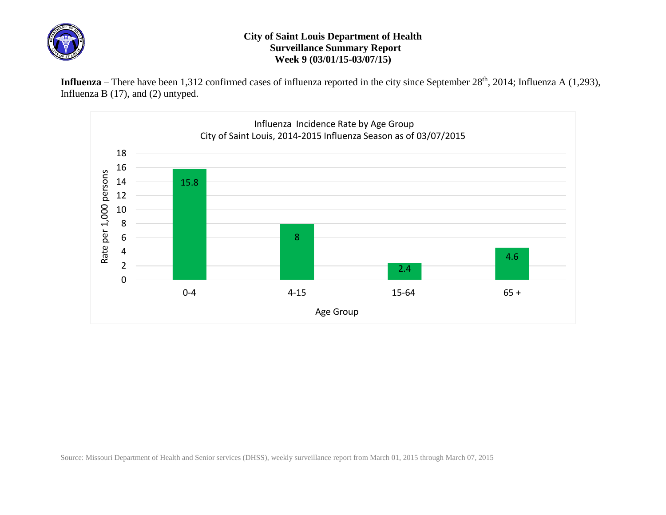

## **City of Saint Louis Department of Health Surveillance Summary Report Week 9 (03/01/15-03/07/15)**

Influenza – There have been 1,312 confirmed cases of influenza reported in the city since September 28<sup>th</sup>, 2014; Influenza A (1,293), Influenza B (17), and (2) untyped.